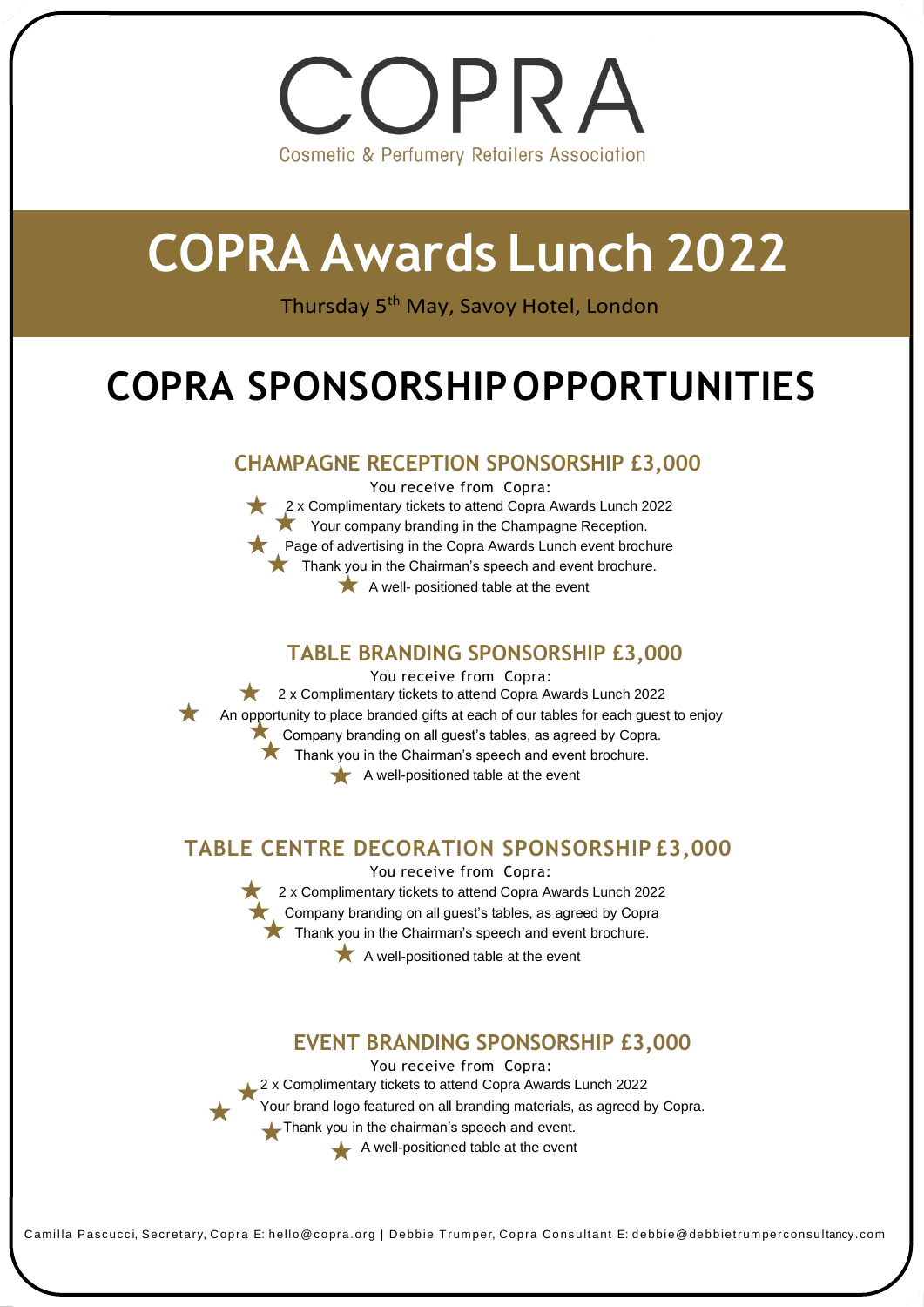# OPRA **Cosmetic & Perfumery Retailers Association**

# **COPRA Awards Lunch 2022**

Thursday 5th May, Savoy Hotel, London

# **COPRA SPONSORSHIPOPPORTUNITIES**

### **CHAMPAGNE RECEPTION SPONSORSHIP £3,000**

You receive from Copra: 2 x Complimentary tickets to attend Copra Awards Lunch 2022 Your company branding in the Champagne Reception. **Page of advertising in the Copra Awards Lunch event brochure** Thank you in the Chairman's speech and event brochure.  $\blacktriangleright$  A well- positioned table at the event

#### **TABLE BRANDING SPONSORSHIP £3,000**

You receive from Copra: 2 x Complimentary tickets to attend Copra Awards Lunch 2022  $\star$ An opportunity to place branded gifts at each of our tables for each guest to enjoy **Company branding on all quest's tables, as agreed by Copra.** Thank you in the Chairman's speech and event brochure.  $\blacktriangleright$  A well-positioned table at the event

### **TABLE CENTRE DECORATION SPONSORSHIP £3,000**

You receive from Copra: 2 x Complimentary tickets to attend Copra Awards Lunch 2022 Company branding on all guest's tables, as agreed by Copra  $\blacktriangleright$  Thank you in the Chairman's speech and event brochure.

 $\bigstar$  A well-positioned table at the event

### **EVENT BRANDING SPONSORSHIP £3,000**

You receive from Copra: 2 x Complimentary tickets to attend Copra Awards Lunch 2022 Your brand logo featured on all branding materials, as agreed by Copra. Thank you in the chairman's speech and event.  $\blacktriangle$  A well-positioned table at the event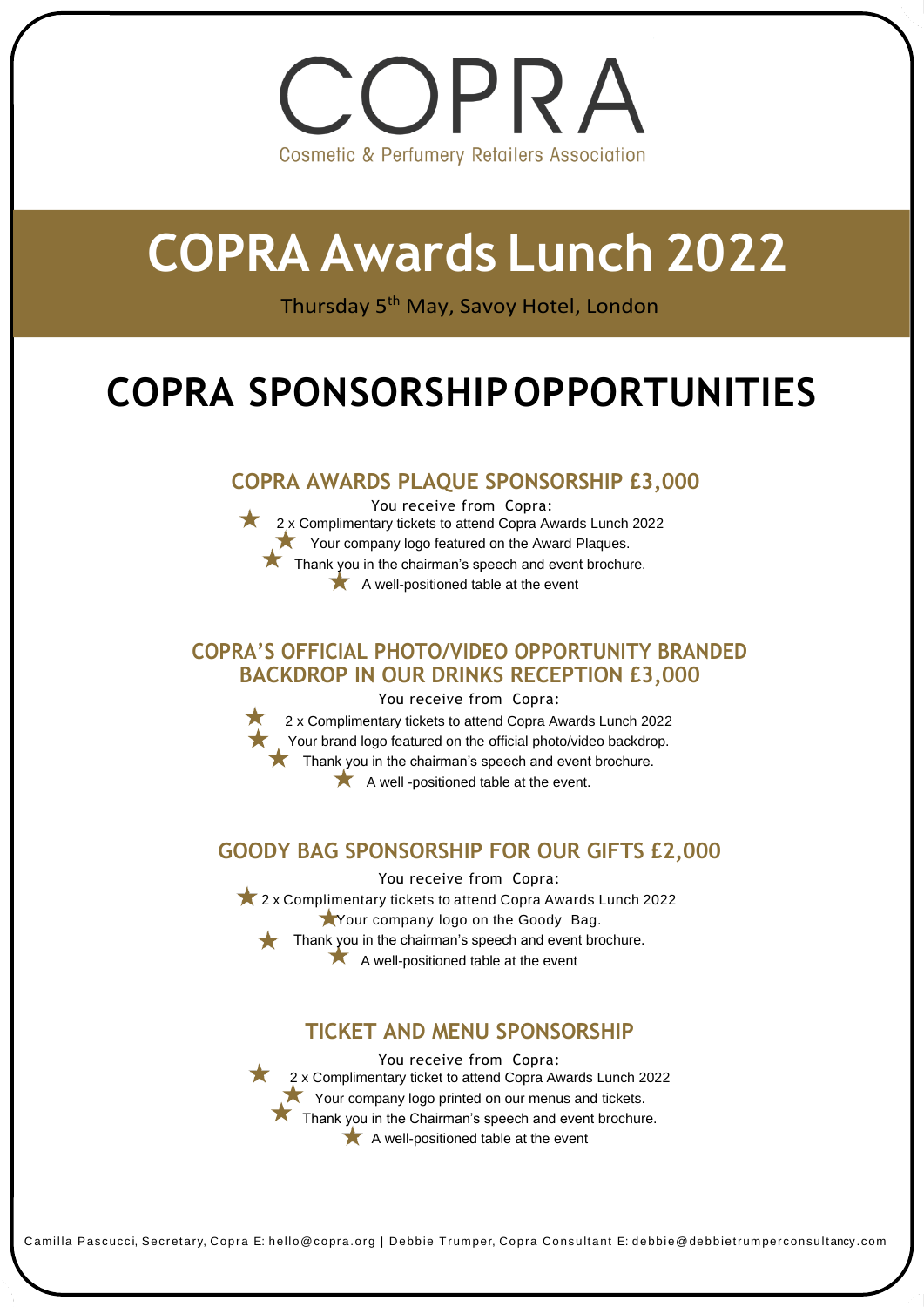# OPRA **Cosmetic & Perfumery Retailers Association**

# **COPRA Awards Lunch 2022**

Thursday 5th May, Savoy Hotel, London

# **COPRA SPONSORSHIPOPPORTUNITIES**

### **COPRA AWARDS PLAQUE SPONSORSHIP £3,000**

You receive from Copra: 2x Complimentary tickets to attend Copra Awards Lunch 2022 Your company logo featured on the Award Plaques. Thank you in the chairman's speech and event brochure.  $\blacktriangleright$  A well-positioned table at the event

#### **COPRA'S OFFICIAL PHOTO/VIDEO OPPORTUNITY BRANDED BACKDROP IN OUR DRINKS RECEPTION £3,000**

You receive from Copra: 2 x Complimentary tickets to attend Copra Awards Lunch 2022 Your brand logo featured on the official photo/video backdrop.  $\star$  Thank you in the chairman's speech and event brochure. A well -positioned table at the event.

## **GOODY BAG SPONSORSHIP FOR OUR GIFTS £2,000**

You receive from Copra: 2 x Complimentary tickets to attend Copra Awards Lunch 2022 Your company logo on the Goody Bag. Thank you in the chairman's speech and event brochure. A well-positioned table at the event

## **TICKET AND MENU SPONSORSHIP**

You receive from Copra: 2 x Complimentary ticket to attend Copra Awards Lunch 2022 Your company logo printed on our menus and tickets. Thank you in the Chairman's speech and event brochure. A well-positioned table at the event